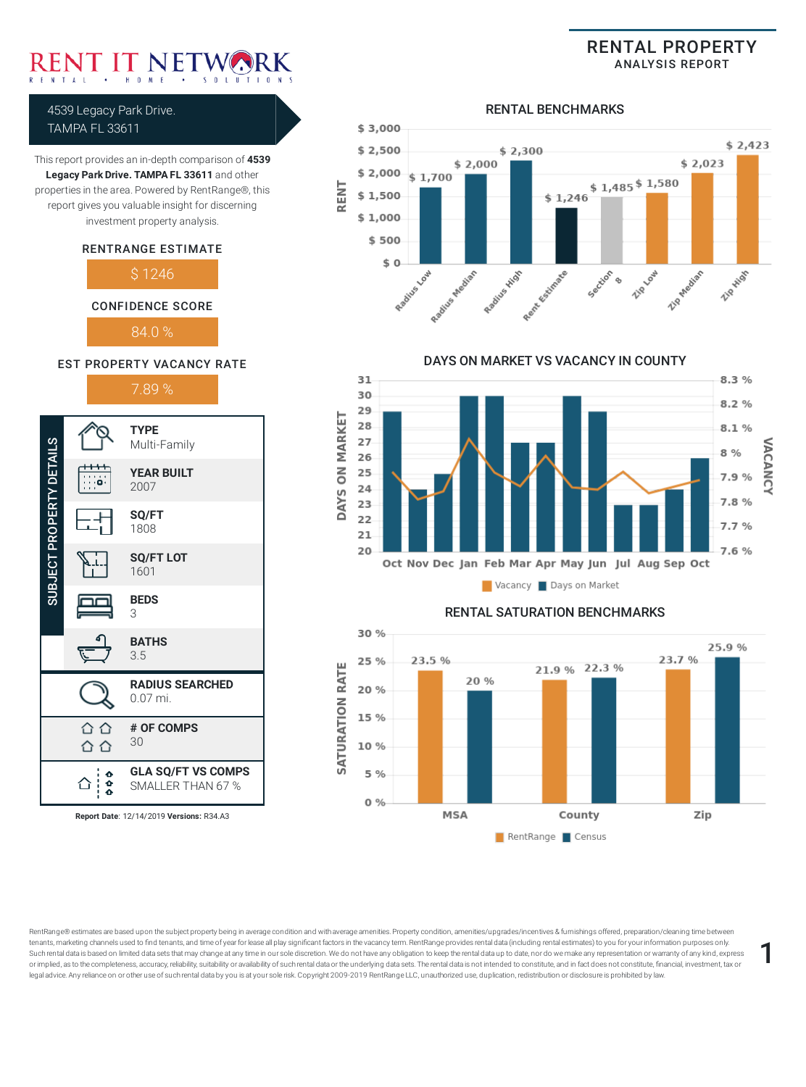This report provides an in-depth comparison of **4539 Legacy Park Drive. TAMPA FL 33611** and other properties in the area. Powered by RentRange®, this report gives you valuable insight for discerning investment property analysis.

4539 Legacy Park Drive. TAMPA FL 33611

> RENTRANGE ESTIMATE \$ 1246

CONFIDENCE SCORE

RENTAL PROPERTY ANALYSIS REPORT



RENT

#### RENTAL BENCHMARKS



DAYS ON MARKET VS VACANCY IN COUNTY 31  $8.3%$ 30  $8.2%$ 29 **ON MARKET** 28  $8.1%$ 27 **/ACANC** 8 % 26 25 7.9% 24 DAYS 7.8 % 23 22 7.7 % 21 20 7.6 % Oct Nov Dec Jan Feb Mar Apr May Jun Jul Aug Sep Oct Vacancy Days on Market



RentRange® estimates are based upon the subject property being in average condition and with average amenities. Property condition, amenities/upgrades/incentives & furnishings offered, preparation/cleaning time between tenants, marketing channels used to find tenants, and time of year for lease all play significant factors in the vacancy term. RentRange provides rental data (including rental estimates) to you for your information purpose tenants, marketing channels used to find tenants, and time of year for lease all play significant factors in the vacancy term. RentRange provides rental data (including rental estimates) to you for your information purpose or implied, as to the completeness, accuracy, reliability, suitability or availability of such rental data or the underlying data sets. The rental data is not intended to constitute, and in fact does not constitute, financ

84.0 % EST PROPERTY VACANCY RATE



**Report Date**: 12/14/2019 **Versions:** R34.A3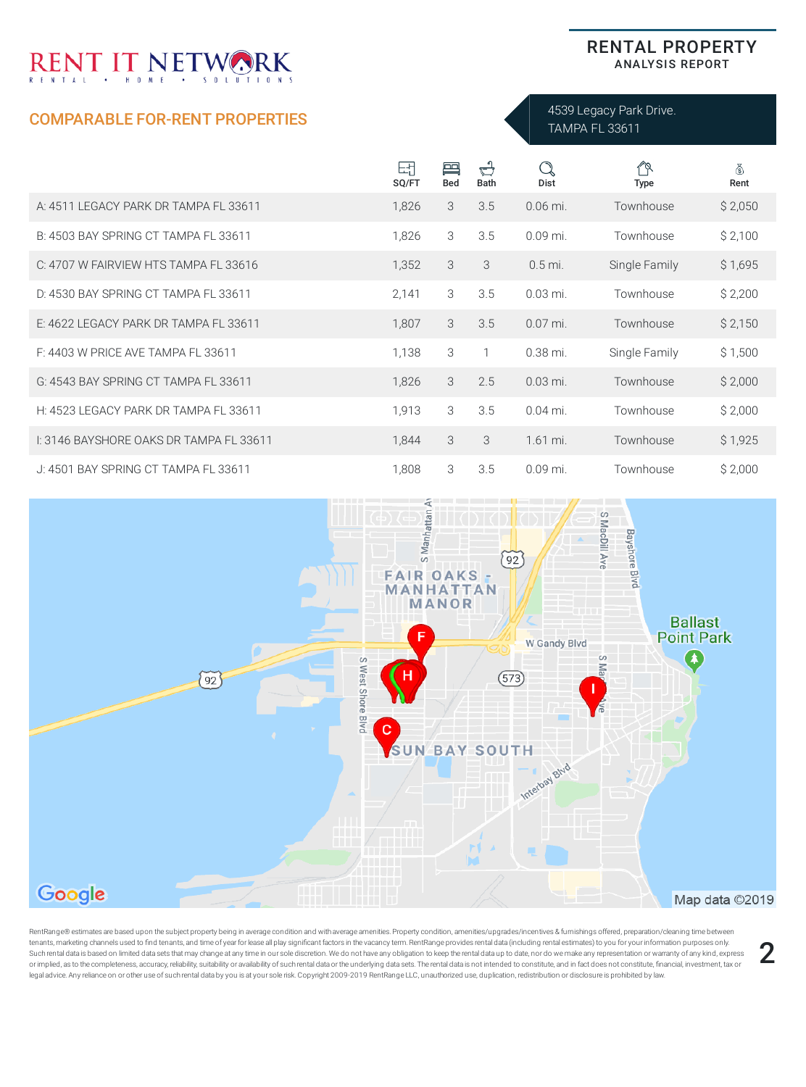## COMPARABLE FOR-RENT PROPERTIES

### RENTAL PROPERTY ANALYSIS REPORT

4539 Legacy Park Drive. TAMPA FL 33611

|                                         | 団<br>SQ/FT | 冎<br><b>Bed</b> | $\vec{\mathbb{C}}$<br><b>Bath</b> | Q<br>Dist  | 19<br><b>Type</b> | 8<br>Rent |
|-----------------------------------------|------------|-----------------|-----------------------------------|------------|-------------------|-----------|
| A: 4511 LEGACY PARK DR TAMPA FL 33611   | 1,826      | 3               | 3.5                               | $0.06$ mi. | Townhouse         | \$2,050   |
| B: 4503 BAY SPRING CT TAMPA FL 33611    | 1,826      | 3               | 3.5                               | $0.09$ mi. | Townhouse         | \$2,100   |
| C: 4707 W FAIRVIEW HTS TAMPA FL 33616   | 1,352      | 3               | 3                                 | $0.5$ mi.  | Single Family     | \$1,695   |
| D: 4530 BAY SPRING CT TAMPA FL 33611    | 2,141      | 3               | 3.5                               | $0.03$ mi. | Townhouse         | \$2,200   |
| E: 4622 LEGACY PARK DR TAMPA FL 33611   | 1,807      | 3               | 3.5                               | $0.07$ mi. | Townhouse         | \$2,150   |
| F: 4403 W PRICE AVE TAMPA FL 33611      | 1,138      | 3               | 1                                 | $0.38$ mi. | Single Family     | \$1,500   |
| G: 4543 BAY SPRING CT TAMPA FL 33611    | 1,826      | 3               | 2.5                               | $0.03$ mi. | Townhouse         | \$2,000   |
| H: 4523 LEGACY PARK DR TAMPA FL 33611   | 1,913      | 3               | 3.5                               | $0.04$ mi. | Townhouse         | \$2,000   |
| I: 3146 BAYSHORE OAKS DR TAMPA FL 33611 | 1,844      | 3               | 3                                 | 1.61 mi.   | Townhouse         | \$1,925   |
| J: 4501 BAY SPRING CT TAMPA FL 33611    | 1,808      | 3               | 3.5                               | $0.09$ mi. | Townhouse         | \$2,000   |



RentRange® estimates are based upon the subject property being in average condition and with average amenities. Property condition, amenities/upgrades/incentives & furnishings offered, preparation/cleaning time between tenants, marketing channels used to nd tenants, and time of yearforlease all play signicant factors in the vacancy term. RentRange provides rental data (including rental estimates) to you for yourinformation purposes only. Such rental data is based on limited data sets that may change at any time in our sole discretion. We do not have any obligation to keep the rental data up to date, nor do we make any representation or warranty of any kind or implied, as to the completeness, accuracy, reliability, suitability or availability of such rental data or the underlying data sets. The rental data is not intended to constitute, and in fact does not constitute, financ tenants, marketing channels used to find tenants, and time of year for lease all play significant factors in the vacancy term. RentRange provides rental data (including rental estimates) to you for your information purpose

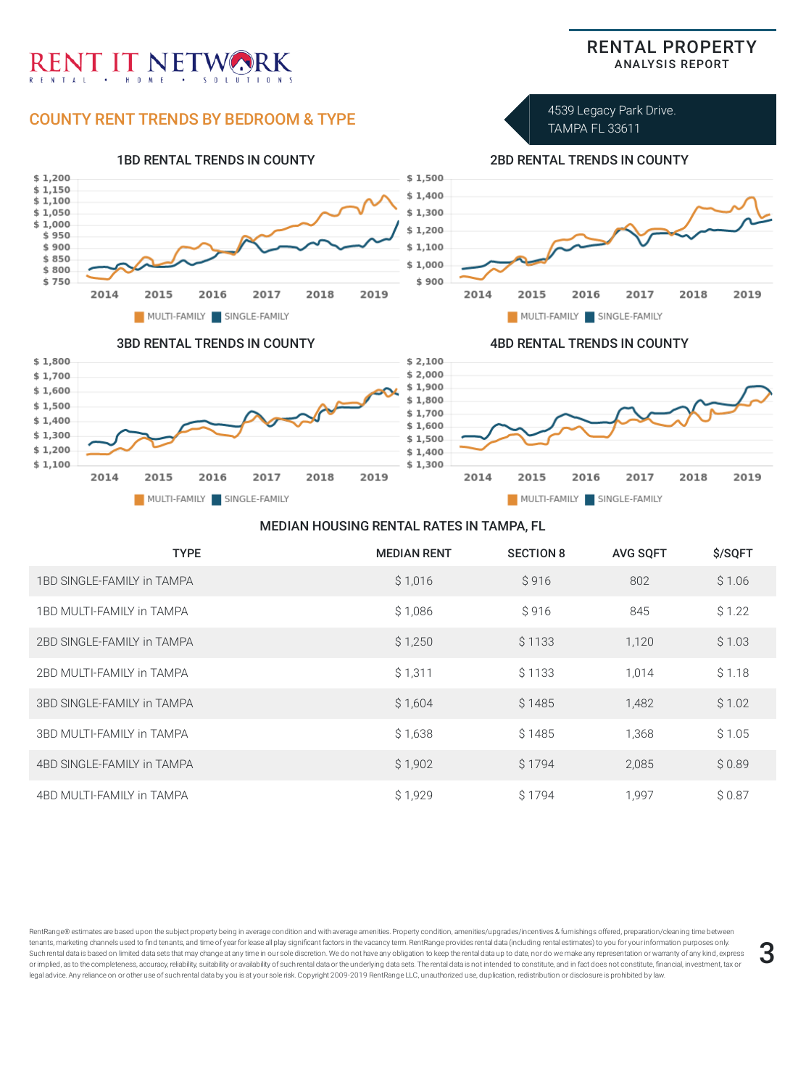

### MEDIAN HOUSING RENTAL RATES IN TAMPA, FL

| <b>TYPE</b>                | <b>MEDIAN RENT</b> | <b>SECTION 8</b> | <b>AVG SOFT</b> | \$/SQFT |
|----------------------------|--------------------|------------------|-----------------|---------|
| 1BD SINGLE-FAMILY in TAMPA | \$1,016            | S 916            | 802             | \$1.06  |
| 1BD MULTI-FAMILY in TAMPA  | \$1,086            | \$916            | 845             | \$1.22  |
| 2BD SINGLE-FAMILY in TAMPA | \$1,250            | \$1133           | 1,120           | \$1.03  |
| 2BD MULTI-FAMILY in TAMPA  | \$1,311            | \$1133           | 1,014           | \$1.18  |
| 3BD SINGLE-FAMILY in TAMPA | \$1,604            | \$1485           | 1,482           | \$1.02  |
| 3BD MULTI-FAMILY in TAMPA  | \$1,638            | \$1485           | 1,368           | \$1.05  |
| 4BD SINGLE-FAMILY in TAMPA | \$1,902            | \$1794           | 2,085           | \$0.89  |
| 4BD MULTI-FAMILY in TAMPA  | \$1,929            | S 1794           | 1,997           | \$0.87  |

RentRange® estimates are based upon the subject property being in average condition and with average amenities. Property condition, amenities/upgrades/incentives & furnishings offered, preparation/cleaning time between tenants, marketing channels used to find tenants, and time of year for lease all play significant factors in the vacancy term. RentRange provides rental data (including rental estimates) to you for your information purpose tenants, marketing channels used to find tenants, and time of year for lease all play significant factors in the vacancy term. RentRange provides rental data (including rental estimates) to you for your information purpose or implied, as to the completeness, accuracy, reliability, suitability or availability of such rental data or the underlying data sets. The rental data is not intended to constitute, and in fact does not constitute, financ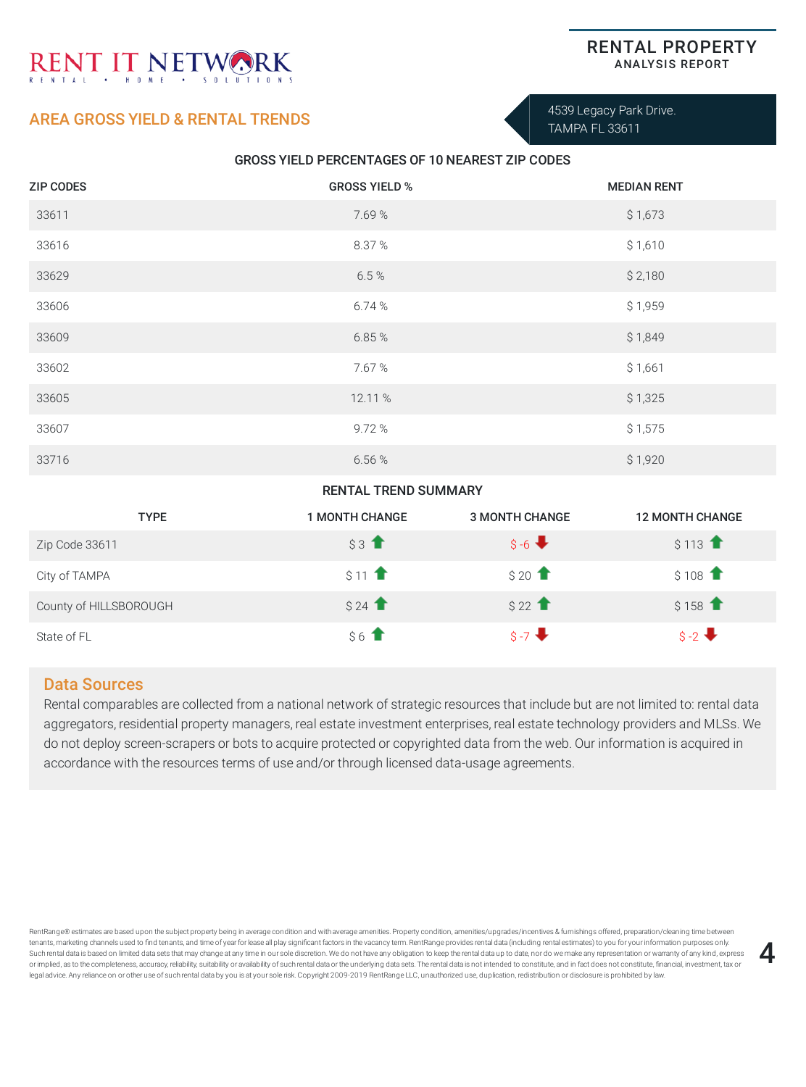## AREA GROSS YIELD & RENTAL TRENDS

4539 Legacy Park Drive. TAMPA FL 33611

### GROSS YIELD PERCENTAGES OF 10 NEAREST ZIP CODES

| <b>ZIP CODES</b> | <b>GROSS YIELD %</b> | <b>MEDIAN RENT</b> |
|------------------|----------------------|--------------------|
| 33611            | 7.69%                | \$1,673            |
| 33616            | 8.37%                | \$1,610            |
| 33629            | 6.5%                 | \$2,180            |
| 33606            | 6.74%                | \$1,959            |
| 33609            | 6.85%                | \$1,849            |
| 33602            | 7.67%                | \$1,661            |
| 33605            | 12.11 %              | \$1,325            |
| 33607            | 9.72%                | \$1,575            |
| 33716            | 6.56%                | \$1,920            |

### RENTAL TREND SUMMARY

| <b>TYPE</b>            | <b>1 MONTH CHANGE</b>                  | <b>3 MONTH CHANGE</b> | <b>12 MONTH CHANGE</b>                  |
|------------------------|----------------------------------------|-----------------------|-----------------------------------------|
| Zip Code 33611         | $$3$ <sup><math>\uparrow</math></sup>  | $S - 6$               | $$113$ <sup><math>\uparrow</math></sup> |
| City of TAMPA          | $$11$ <sup><math>\uparrow</math></sup> | $$20$ $\uparrow$      | $$108$ <sup>1</sup>                     |
| County of HILLSBOROUGH | \$24                                   | $$22$ $\uparrow$      | $$158$ <sup>↑</sup>                     |
| State of FL            | $$6$ $\textbf{T}$                      | $S - 7$               | $S - 2$                                 |

### Data Sources

Rental comparables are collected from a national network of strategic resources that include but are not limited to: rental data aggregators, residential property managers, real estate investment enterprises, real estate technology providers and MLSs. We do not deploy screen-scrapers or bots to acquire protected or copyrighted data from the web. Our information is acquired in accordance with the resources terms of use and/or through licensed data-usage agreements.

RentRange® estimates are based upon the subject property being in average condition and with average amenities. Property condition, amenities/upgrades/incentives & furnishings offered, preparation/cleaning time between tenants, marketing channels used to find tenants, and time of year for lease all play significant factors in the vacancy term. RentRange provides rental data (including rental estimates) to you for your information purpose tenants, marketing channels used to find tenants, and time of year for lease all play significant factors in the vacancy term. RentRange provides rental data (including rental estimates) to you for your information purpose or implied, as to the completeness, accuracy, reliability, suitability or availability of such rental data or the underlying data sets. The rental data is not intended to constitute, and in fact does not constitute, financ



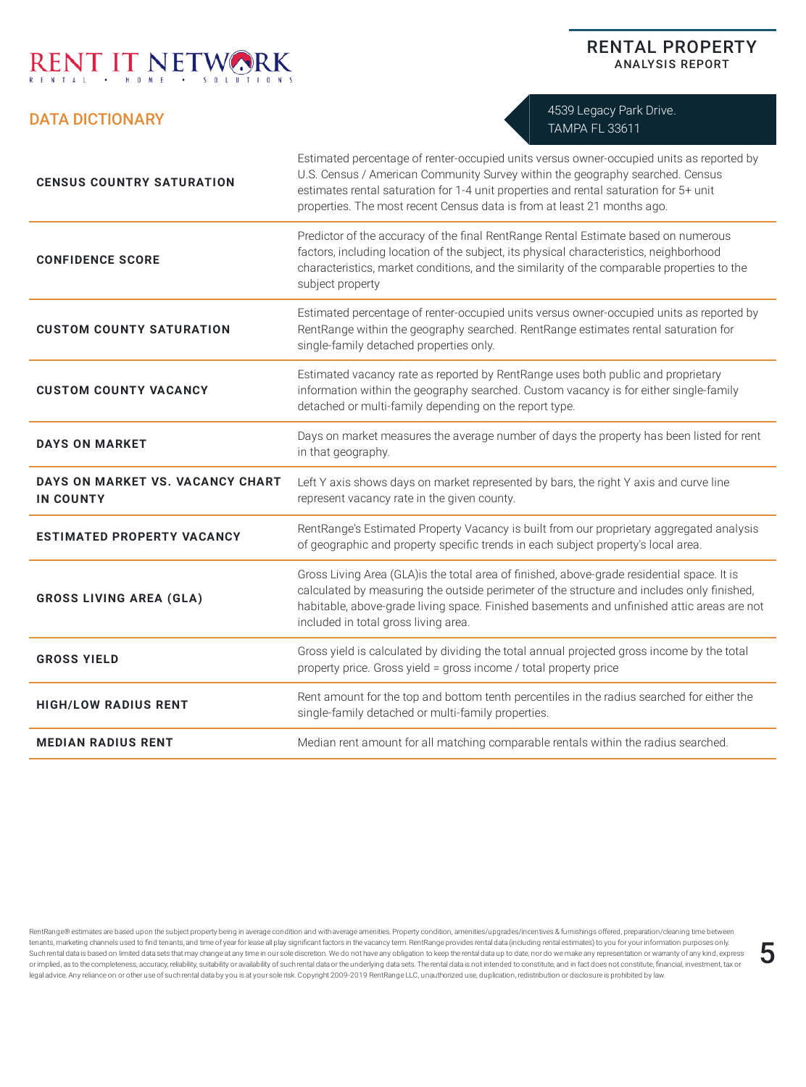## DATA DICTIONARY

4539 Legacy Park Drive. TAMPA FL 33611

RENTAL PROPERTY ANALYSIS REPORT

| <b>CENSUS COUNTRY SATURATION</b>                     | Estimated percentage of renter-occupied units versus owner-occupied units as reported by<br>U.S. Census / American Community Survey within the geography searched. Census<br>estimates rental saturation for 1-4 unit properties and rental saturation for 5+ unit<br>properties. The most recent Census data is from at least 21 months ago. |
|------------------------------------------------------|-----------------------------------------------------------------------------------------------------------------------------------------------------------------------------------------------------------------------------------------------------------------------------------------------------------------------------------------------|
| <b>CONFIDENCE SCORE</b>                              | Predictor of the accuracy of the final RentRange Rental Estimate based on numerous<br>factors, including location of the subject, its physical characteristics, neighborhood<br>characteristics, market conditions, and the similarity of the comparable properties to the<br>subject property                                                |
| <b>CUSTOM COUNTY SATURATION</b>                      | Estimated percentage of renter-occupied units versus owner-occupied units as reported by<br>RentRange within the geography searched. RentRange estimates rental saturation for<br>single-family detached properties only.                                                                                                                     |
| <b>CUSTOM COUNTY VACANCY</b>                         | Estimated vacancy rate as reported by RentRange uses both public and proprietary<br>information within the geography searched. Custom vacancy is for either single-family<br>detached or multi-family depending on the report type.                                                                                                           |
| <b>DAYS ON MARKET</b>                                | Days on market measures the average number of days the property has been listed for rent<br>in that geography.                                                                                                                                                                                                                                |
| DAYS ON MARKET VS. VACANCY CHART<br><b>IN COUNTY</b> | Left Y axis shows days on market represented by bars, the right Y axis and curve line<br>represent vacancy rate in the given county.                                                                                                                                                                                                          |
| <b>ESTIMATED PROPERTY VACANCY</b>                    | RentRange's Estimated Property Vacancy is built from our proprietary aggregated analysis<br>of geographic and property specific trends in each subject property's local area.                                                                                                                                                                 |
| <b>GROSS LIVING AREA (GLA)</b>                       | Gross Living Area (GLA)is the total area of finished, above-grade residential space. It is<br>calculated by measuring the outside perimeter of the structure and includes only finished,<br>habitable, above-grade living space. Finished basements and unfinished attic areas are not<br>included in total gross living area.                |
| <b>GROSS YIELD</b>                                   | Gross yield is calculated by dividing the total annual projected gross income by the total<br>property price. Gross yield = gross income / total property price                                                                                                                                                                               |
| <b>HIGH/LOW RADIUS RENT</b>                          | Rent amount for the top and bottom tenth percentiles in the radius searched for either the<br>single-family detached or multi-family properties.                                                                                                                                                                                              |
| <b>MEDIAN RADIUS RENT</b>                            | Median rent amount for all matching comparable rentals within the radius searched.                                                                                                                                                                                                                                                            |

RentRange® estimates are based upon the subject property being in average condition and with average amenities. Property condition, amenities/upgrades/incentives & furnishings offered, preparation/cleaning time between tenants, marketing channels used to nd tenants, and time of yearforlease all play signicant factors in the vacancy term. RentRange provides rental data (including rental estimates) to you for yourinformation purposes only. tenants, marketing channels used to find tenants, and time of year for lease all play significant factors in the vacancy term. RentRange provides rental data (including rental estimates) to you for your information purpose or implied, as to the completeness, accuracy, reliability, suitability or availability of such rental data or the underlying data sets. The rental data is not intended to constitute, and in fact does not constitute, financ